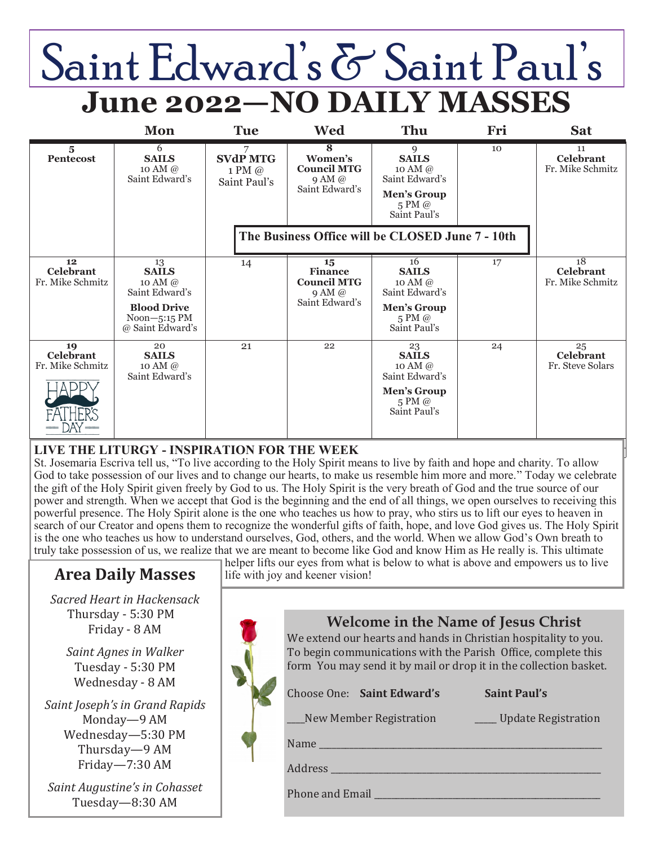# Saint Edward's & Saint Paul's **June 2022—NO DAILY MASSES**

|                                            | Mon                                                      | <b>Tue</b>                                     | <b>Wed</b>                                                   | Thu                                                                                                        | Fri | <b>Sat</b>                                 |
|--------------------------------------------|----------------------------------------------------------|------------------------------------------------|--------------------------------------------------------------|------------------------------------------------------------------------------------------------------------|-----|--------------------------------------------|
| $\overline{\mathbf{5}}$<br>Pentecost       | 6<br><b>SAILS</b><br>10 AM $\omega$<br>Saint Edward's    | 7<br><b>SVdP MTG</b><br>1 PM @<br>Saint Paul's | 8<br>Women's<br><b>Council MTG</b><br>9AM@<br>Saint Edward's | 9<br><b>SAILS</b><br>10 AM $\omega$<br>Saint Edward's<br>Men's Group<br>$5 \text{ PM } @$<br>Saint Paul's  | 10  | 11<br><b>Celebrant</b><br>Fr. Mike Schmitz |
|                                            |                                                          |                                                | The Business Office will be CLOSED June 7 - 10th             |                                                                                                            |     |                                            |
| 12<br><b>Celebrant</b><br>Fr. Mike Schmitz | 13<br><b>SAILS</b><br>10 AM @<br>Saint Edward's          | 14                                             | 15<br><b>Finance</b><br><b>Council MTG</b><br>9AM@           | 16<br><b>SAILS</b><br>10 AM $\omega$<br>Saint Edward's                                                     | 17  | 18<br><b>Celebrant</b><br>Fr. Mike Schmitz |
|                                            | <b>Blood Drive</b><br>$Noon-5:15$ PM<br>@ Saint Edward's |                                                | Saint Edward's                                               | Men's Group<br>$5 \text{ PM}$ @<br>Saint Paul's                                                            |     |                                            |
| 19<br><b>Celebrant</b><br>Fr. Mike Schmitz | 20<br><b>SAILS</b><br>10 AM $\omega$<br>Saint Edward's   | 21                                             | 22                                                           | 23<br><b>SAILS</b><br>10 AM $\omega$<br>Saint Edward's<br>Men's Group<br>$5 \text{ PM } @$<br>Saint Paul's | 24  | 25<br><b>Celebrant</b><br>Fr. Steve Solars |

### **LIVE THE LITURGY - INSPIRATION FOR THE WEEK**

St. Josemaria Escriva tell us, "To live according to the Holy Spirit means to live by faith and hope and charity. To allow God to take possession of our lives and to change our hearts, to make us resemble him more and more." Today we celebrate the gift of the Holy Spirit given freely by God to us. The Holy Spirit is the very breath of God and the true source of our power and strength. When we accept that God is the beginning and the end of all things, we open ourselves to receiving this powerful presence. The Holy Spirit alone is the one who teaches us how to pray, who stirs us to lift our eyes to heaven in search of our Creator and opens them to recognize the wonderful gifts of faith, hope, and love God gives us. The Holy Spirit is the one who teaches us how to understand ourselves, God, others, and the world. When we allow God's Own breath to truly take possession of us, we realize that we are meant to become like God and know Him as He really is. This ultimate

# **Area Daily Masses**

*Sacred Heart in Hackensack* Thursday - 5:30 PM Friday - 8 AM

*Saint Agnes in Walker* Tuesday - 5:30 PM Wednesday - 8 AM

*Saint Joseph's in Grand Rapids* Monday—9 AM Wednesday—5:30 PM Thursday—9 AM Friday—7:30 AM

*Saint Augustine's in Cohasset* Tuesday—8:30 AM

helper lifts our eyes from what is below to what is above and empowers us to live life with joy and keener vision!

| <b>Welcome in the Name of Jesus Christ</b><br>We extend our hearts and hands in Christian hospitality to you.<br>To begin communications with the Parish Office, complete this<br>form You may send it by mail or drop it in the collection basket. |  |  |  |  |  |
|-----------------------------------------------------------------------------------------------------------------------------------------------------------------------------------------------------------------------------------------------------|--|--|--|--|--|
| Choose One: Saint Edward's<br><b>Saint Paul's</b>                                                                                                                                                                                                   |  |  |  |  |  |
| New Member Registration<br>Update Registration                                                                                                                                                                                                      |  |  |  |  |  |
| Name $\qquad \qquad$                                                                                                                                                                                                                                |  |  |  |  |  |
| Address                                                                                                                                                                                                                                             |  |  |  |  |  |
| Phone and Email                                                                                                                                                                                                                                     |  |  |  |  |  |